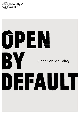

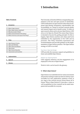# <span id="page-1-0"></span>**1 Introduction**

### <span id="page-1-2"></span>Table of Contents

| Introduction                                   |   |
|------------------------------------------------|---|
|                                                |   |
| 1.1 What is Open Science?                      | っ |
| 1.2 Why is Open Science important?             | 3 |
| 1.3 Why do we need a Policy?                   | з |
| 1.4 What is the framework of the Policy?       | 4 |
| 1.5 What is the focus and scope of the Policy? | 4 |
|                                                |   |

| 2 | Policy                         | 5 |
|---|--------------------------------|---|
|   |                                |   |
|   | 2.1 Open Research Process      | 5 |
|   | 2.2 Open and FAIR Data         | 5 |
|   | 2.3 Open Code and Software     | 6 |
|   | 2.4 Open Access                | 6 |
|   | 2.5 Open Science Education     | 7 |
|   | 2.6 Assessments and Incentives | 7 |
|   |                                |   |
|   |                                |   |
| 3 | Implementation                 | 8 |
|   |                                |   |
|   | Approval                       | 8 |

| Jossary<br>------- |  |
|--------------------|--|
|--------------------|--|

The University of Zurich (UZH) has a longstanding commitment to the free and open pursuit of scholarship. UZH is dedicated to an open research culture that encompasses open sharing, transparency, reproducibility, and accountability as a means to increase research quality and research impact and to benefit society. To foster an open research culture and to advance Open Science, UZH strives to be Open by Default.This means Open Science is intended to become the guiding principle. For this to happen, Open Science practices and values need to be embedded in the organization of the UZH and its processes. This Policy formulates expectations and recommendations and provides guidance on the implementation of Open Science practices. The Open Science strategy of UZH is two-fold:

# Top-down: Open by Design

UZH provides the necessary support and guidelines to foster and establish Open Science.

# Bottom-up: Open by Desire

UZH supports initiatives and the engagement of its employees in the area of Open Science.

Words in *italics* can be found in the glossary.

# <span id="page-1-1"></span>1.1 What is Open Science?

Open Science is an umbrella term for various movements and practices aiming to make any kind of *scholarly output* accessible, be it *data*, publications, methods or tools, at any stage of the research process [\(Gema Bueno de la](https://www.fosteropenscience.eu/content/what-open-science-introduction)  [Fuente, What is Open Science?\)](https://www.fosteropenscience.eu/content/what-open-science-introduction). It provides a vision as well as guidelines on how research can be made transparent and accessible for everyone.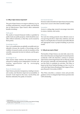# <span id="page-2-2"></span><span id="page-2-0"></span>1.2 Why is Open Science important?

The goal of Open Science is to improve efficiency (e.g. by avoiding redundancies), research quality and therefore also its effectiveness. Open Science offers substantial benefits including<sup>1</sup>:

# Public good

The results of research financed wholly or partially by public funds are public property, which should be accessible without restriction, so that they can be reused by third parties.

### Knowledge transfer

*Open Access* publications are globally accessible and considerably increase the transfer of knowledge and the visibility of research results, not only for members of the scientific community but also for industry and the general public.

# Knowledge for all

Open Science helps reinforce the democratization of research by making access independent of income and funding opportunities and by encouraging collaboration.

# Reuse of *scholarly output*

Open Science promotes transparency, leading to increased scrutiny and therefore improved accountability of research. It also improves the reuse, *reproducibility* and therefore ultimately the quality of research.

### Fact-based decisions

Decision-makers benefit from Open Science because they always have access to the latest scientific insights.

### Innovation

Access to cutting-edge research encourages innovation in science, industry, and society.

# **Efficiency**

Text and *data* mining promote more efficient access to ever-growing *data* flows. Open data, methods, and code help to avoid duplication of research and enable efficient and appropriate reuse in projects building on previous results.

### <span id="page-2-1"></span>1.3 Why do we need a Policy?

The benefits of Open Science can only fully come to fruition when it becomes an integral part of research practice worldwide. UZH will, therefore, continue to advance Open Science and its legal framework on all levels: within the university, nationally and internationally. UZH will use this Policy to underpin its activities. The Policy is based on the Swiss National Strategy on *Open Access<sup>2</sup>* as well as the Open Science Roadmap of the League of European Research Universities (LERU)3 *.*

This Policy describes a common vision and provides guidance on how to integrate Open Science practices into UZH scholarship.

1 Partly based on https://oa100.snf.ch/en/home-en/

2 Swissuniversities/Swiss National Science Foundation, Swiss National Strategy

on Open Access, 31 January 2017: https://perma.cc/U5P4-R7LG 3 https://www.leru.org/files/LERU-AP24-Open-Science-full-paper.pdf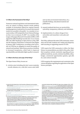### <span id="page-3-2"></span><span id="page-3-0"></span>1.4 What is the framework of the Policy?

Numerous national regulations and international initiatives are aimed at making research results publicly available. In Switzerland, federal law requires research funding agencies at national level to ensure that research results are accessible to the public<sup>4</sup>. As a member of swissuniversities, UZH adopted the Swiss National Strategy on *Open Access* on January 31, 2017 5 . As a member of the League of European Research Universities (LERU), UZH signed the LERU Roadmap towards *Open Access* in June 2011<sup>6</sup>, the LERU Roadmap to Open Science in May 2018<sup>7</sup> and the Sorbonne Declaration on Research Data Rights in January 20208. Furthermore, according to the University Act UZH has an obligation to ensure the quality of research and teaching<sup>9</sup>. Open Science practices contribute to increased transparency, which leads to improved reproducibility and ultimately higher quality in research.

# <span id="page-3-1"></span>1.5 What is the focus and scope of the Policy?

The Open Science Policy focuses on:

1) *scholarly output* including *data* (incl. source materials, records, datasets, etc.), code (incl. source code, build

and run-time environment instructions, etc.), scientific findings, educational material and publications.

- 2) research methods that focus on *reproducibility, replicability,* transparency, efficiency and robustness.
- 3) implementation of a culture change in how universities and researchers work, plan and operate.

This Policy addresses the entire UZH community: researchers and all staff, students and visiting and temporary staff executing or supporting research at UZH.

UZH expects the UZH community to follow the Open Science recommendations provided in this policy. Justified exceptions include constraints regarding privacy, political sensitivity, security, technical feasibility, ethics, budget, commercial opportunities (patents, spin-offs etc.) and contract research.

UZH recognizes the requirements and constraints in the various disciplines regarding the application of the Open Science principles.

4 Article 50 of the Federal Act on the Promotion of Research and Innovation [\(RIPA, SR 420.1\): https://fedlex.data.admin.ch/filestore/fedlex.data.admin.ch/](https://fedlex.data.admin.ch/filestore/fedlex.data.admin.ch/eli/cc/2013/786/20200101/en/pdf-a/fedlex-data-admin-ch-eli-cc-2013-786-20200101-en-pdf-a.pdf) [eli/cc/2013/786/20200101/en/pdf-a/fedlex-data-admin-ch-eli-cc-](https://fedlex.data.admin.ch/filestore/fedlex.data.admin.ch/eli/cc/2013/786/20200101/en/pdf-a/fedlex-data-admin-ch-eli-cc-2013-786-20200101-en-pdf-a.pdf)[2013-786-20200101-en-pdf-a.pdf](https://fedlex.data.admin.ch/filestore/fedlex.data.admin.ch/eli/cc/2013/786/20200101/en/pdf-a/fedlex-data-admin-ch-eli-cc-2013-786-20200101-en-pdf-a.pdf)

5 swissuniversities/Swiss National Science Foundation, Swiss National Strategy on Open Access, 31 January 2017: https://perma.cc/U5P4-R7LG

- 7 https://www.leru.org/files/LERU-AP24-Open-Science-full-paper.pdf
- 8 https://sorbonnedatadeclaration.eu/
- 9 § 4 of the University Act of 15 March 1998 (UniG, LS 415.11); Article 27 of the Federal Act of 30 September 2011 on Funding and Coordination of the Swiss Higher Education Sector (Higher Education Act, HEdA, SR 414.20) Article 20 of the Federal Constitution protects the freedom of academic teaching and research ([Artikel 20 Bundesverfassung der Schweizerischen Eid](https://www.fedlex.admin.ch/eli/cc/1999/404/de#a20)[genossenschaft vom 18. April 1999 \[Stand am 1. Januar 2021](https://www.fedlex.admin.ch/eli/cc/1999/404/de#a20)]). This freedom is not unlimited; it is subject to restrictions and specifications. Higher education follows a curriculum and research has financial, legal and logistical

constraints (Andreas Kley, Freie Bahn für Open Access, plädoyer 3/18, S. 36 ff., online: https://perma.cc/7R6K-7RC2). In the Canton of Zurich, university employees who "in the exercise of their contractual obligations [create] a copyrighted work ... are entitled to the exploitation rights to that work."(§ 65 der [Personalverordnung der Universität Zürich \(PVO-UZH\) vom 29. September](http://www2.zhlex.zh.ch/appl/zhlex_r.nsf/WebView/F20B5F9481C88B04C125812500370FDE/$File/415.21_29.9.14_97.pdf)  [2014;](http://www2.zhlex.zh.ch/appl/zhlex_r.nsf/WebView/F20B5F9481C88B04C125812500370FDE/$File/415.21_29.9.14_97.pdf) s.a[. §12a Abs. 3 Universitätsgesetz vom 15. März 1998\) T](http://www2.zhlex.zh.ch/appl/zhlex_r.nsf/WebView/8237160ABF6C1996C125852F0043D985/$File/415.11_15.3.98_108.pdf)hus, authors are usually free to decide how and where to publish their work. On the other hand, UZH has an obligation to ensure the quality of research and teaching (§ 4, UniG, LS 415.11; Article 27, Higher Education Act, HEdA, SR 414.20). It is thus equally free to promote Open Science by providing information, training opportunities, infrastructure for repositories (Zurich Open Repository and Archive ZORA: https://www.zora.uzh.ch), Open Access journals (Hauptbibliothek Open Publishing Environment HOPE: https://www.hope.uzh.ch), or financial support (Open Access Publications Funding: [https://www.hbz.uzh.ch/en/](https://www.hbz.uzh.ch/en/open-access-und-open-science/oa-publikationsfoerderung.html) [open-access-und-open-science/oa-publikationsfoerderung.html\). UZH is also](https://www.hbz.uzh.ch/en/open-access-und-open-science/oa-publikationsfoerderung.html)  free to decide where it allocates funds (University Research Priority Programs URPP, Candoc Grants, Competitive Sabbaticals UZH etc.).

<sup>6</sup> https://www.leru.org/files/The-LERU-Roadmap-Towards-Open-Access-Fullpaper.pdf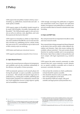# <span id="page-4-3"></span><span id="page-4-0"></span>**2 Policy**

UZH expects that all publicly funded *scholarly output* – including, e.g. publications, research data and code – is made openly available.

UZH expects output of all publicly funded research to be made FAIR (Findable, Accessible, Interoperable and Reusable)10. The FAIR principles apply to *data* and *metadata* as well as to software, code, algorithms, and workflows/protocols that lead to that *data* 11.

UZH expects its researchers to obtain an Open Researcher and Contributor ID (ORCID), use it in relevant scholarly activities (e.g. publishing *preprints*, articles, books, *data*, peer review etc.), and maintain an up-to-date record of their *scholarly output* on [orcid.org.](https://orcid.org/)

UZH fosters and funds *open educational resources*.

UZH supports participatory research (*Citizen Science*).

### <span id="page-4-1"></span>2.1 Open Research Process

Access to the research process enhances its transparency and credibility and can also contribute substantially to the efficiency and quality of future processes.

UZH recommends openness in all research phases following the principle «as open as possible, as protected as necessary». This includes all research stages prior to publication (e.g. making data available, publishing data analysis plans, preprints). For confirmatory research, the use of pre-registration servers to help improve quality and accountability is recommended.

UZH strongly encourages the publication of negative and unintended results from original and replication studies. It recognizes such publications as academic output and considers them in research evaluation and when recruiting.

# <span id="page-4-2"></span>2.2 Open and FAIR<sup>12</sup> Data

Raw and processed *data* are important to be able to verify and reuse research results.

How research data is being managed and shared depends on the kind of *data* and the culture within different disciplines and domains. Open data means making *data*  available without restriction<sup>13</sup>. Data and *metadata* should therefore be machine-readable and in non-proprietary file formats. Open Data is subject to data protection and must comply with legal requirements (e.g. sensitive data).

UZH expects the entire research community to make research data (incl. source materials, records, datasets, etc.) as openly available as possible and as closed as necessary; concretely, this means:

- *Data* (at least the *metadata*) on which a publication is based should be openly accessible.
- *Data* should be shared as early as possible, at the time of first publication at the latest.
- *Data* should be FAIR and comply with good scientific and legal practice (anonymization etc.).

<sup>10</sup> [https://www.snf.ch/SiteCollectionDocuments/FAIR\\_principles\\_translation\\_](https://www.snf.ch/SiteCollectionDocuments/FAIR_principles_translation_SNSF_logo.pdf) [SNSF\\_logo.pdf](https://www.snf.ch/SiteCollectionDocuments/FAIR_principles_translation_SNSF_logo.pdf)

<sup>11</sup> Wilkinson, M. D.et al. The FAIR Guiding Principles for scientific data management and stewardship. Sci. Data 3:160018 doi: 10.1038/sdata.2016.18 (2016), [online: https://www.ncbi.nlm.nih.gov/pmc/articles/PMC4792175/pdf/](https://www.ncbi.nlm.nih.gov/pmc/articles/PMC4792175/pdf/sdata201618.pdf) [sdata201618.pdf](https://www.ncbi.nlm.nih.gov/pmc/articles/PMC4792175/pdf/sdata201618.pdf) 

<sup>12</sup> Findable: metadata has to be machine-readable and have a unique, persistent identifier; Accessible; Interoperable: metadata has to be in open formats; Reusable: metadata indicates the conditions for reuse. Open licenses are preferred. https://www.hbz.uzh.ch/en/open-access-und-open-science/ [grundlagen-hintergruende/datenmanagement-grundlagen/fair-und-open](https://www.hbz.uzh.ch/en/open-access-und-open-science/grundlagen-hintergruende/datenmanagement-grundlagen/fair-und-open-data.html)[data.html](https://www.hbz.uzh.ch/en/open-access-und-open-science/grundlagen-hintergruende/datenmanagement-grundlagen/fair-und-open-data.html)

<sup>13</sup> By means of appropriate public licenses, e.g. CC-BY or other share-alike licenses.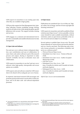<span id="page-5-2"></span>UZH expects its researchers to use existing open data when they are available in high-quality.

UZH provides support for Data Management (incl. planning, collecting, curation, modelling, storage, sharing, reuse) for all types of *data* while taking discipline-specific differences into account. The support includes training and services.

UZH engages on a national and international level to provide a sustainable and suitable infrastructure for data management.

## <span id="page-5-0"></span>2.3 Open Code and Software

Free and *open-source* software fosters widespread adoption, user contributions and ease of collaboration. In cases where code and/or software is part of the research process and output, sharing is important to make research verifiable, but also to stimulate reuse and collaboration.

UZH expects its researchers to use free14 and *open source* software when high-quality, interoperable and secure options are available.

UZH expects code and software created by UZH researchers to be shared with an adequate *open source* license.

In empirical, data-based research UZH encourages and promotes practices that ensure *reproducibilit*y of data analyses, and of all other code- and software-dependent processes.

### <span id="page-5-1"></span>2.4 Open Access

Publications are considered *Open Access* if they are "digital, online, free of charge, and free of most copyright and licensing restrictions"15.

UZH expects its researchers and staff to publish all their *scholarly output* Open Access<sup>16</sup>. As far as possible, *scholarly output* should be made available immediately, without restriction, under an open license, preferably in the version of record and not subject to an embargo.

Several options to publish Open Access exist. The path chosen depends on various factors and must be determined on a case-by-case basis. The following order of priority focuses primarily on immediate availability and serves as a reference point<sup>17</sup>:

- *Platinum/Diamond* Open Access
- Immediate *Green Open Access* Version of Record (VoR)
- Immediate *Green Open Access* Author-Accepted Manuscript (AAM)
- *Gold Open Access*
- Embargoed *Green Open Access* VoR (max. 6 months for articles and 12 months for books and book chapters)
- Embargoed *Green Open Access* AAM (max. 6 months for articles and 12 months for books and book chapters)

*Hybrid Open Access* is not recommended.

- 14 "Users have the freedom to run, copy, distribute, study, change and improve the software" https://www.gnu.org/philosophy/free-sw.html
- 15 P. Suber, Open Access, MIT Press Essential Knowledge Series, Cambridge/USA, London/England, 2012, p. 4: https://perma.cc/YHC3-RAZT
- 16 UZH recommends publishing in Open Access journals that conduct rigorous peer review.
- 17 Information on embargos are indicative and the current positions of swissuniversities and SNSF at the time of writing this policy. Other research funders may have different requirements.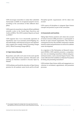<span id="page-6-2"></span>UZH encourages researchers to make their submitted manuscripts available on recognized preprint servers, according to the conventions of their different disciplines.

UZH expects its researchers to deposit all their published scientific works in the Zurich Open *Repository* and Archive (ZORA). The UZH Academic Reports are based on ZORA18.

UZH supports *Open Access* structurally (operation of repositories, *Open Access* journals, journal flipping, etc.) and individually with financial resources and administrative support (for example Article Processing Charges [APC] / Book Processing Charges [BPC]).

# <span id="page-6-0"></span>2.5 Open Science Education

Researchers and staff at all career levels need specific skills to apply Open Science practices. Education and training are therefore essential to become Open by Default.

UZH facilitates and funds the education of Open Science practices for all academic career levels and for all staff. Discipline-specific requirements will be taken into account.

UZH expects all disciplines to integrate Open Science concepts and practices as part of the curriculum.

### <span id="page-6-1"></span>2.6 Assessments and Incentives

Taking Open Science practices and values into account in human resources (HR) processes is a prerequisite to become an open research organization. This will have consequences for how the scientific community evaluates research content and performance as well as for academic career development.

As a signatory of the Declaration on Research Assessment (DORA), UZH explicitly promotes a comprehensive view on evaluating researchers without using journal-based metrics, such as Journal Impact Factors. This is also reflected in the Guidelines on Selection Procedures for hiring and promoting researchers $19$ .

UZH includes Open Science skills and engagement as a criterium in recruitment, appointment, and promotion processes.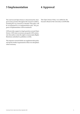# <span id="page-7-2"></span><span id="page-7-0"></span>**3 Implementation 4 Approval**

The road toward Open Science is characterized by changes in many practices throughout the research workflow, including the way research is evaluated. This policy will be accompanied by an implementation plan. The progress of implementation will be monitored.

UZH provides support on legal questions around Open Science. UZH raises awareness among the UZH community that authors retain the rights to manuscripts (Rights Retention) submitted to publishers (AAM).

The respective research fields can supplement this policy and specify further requirements in their own disciplines where necessary.

<span id="page-7-1"></span>This Open Science Policy was ratified by the Executive Board of the University on 28.09.2021.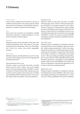# <span id="page-8-1"></span><span id="page-8-0"></span>**5 Glossary**

# Citizen science

Citizen Science enables the involvement of citizens in scientific research projects. The range of projects extends from selective involvement in data collection to the participatory co-creation of projects and knowledge<sup>20</sup>.

# Data

Data in the sense used here are all digitally available information required to validate findings or to reuse research outputs in further projects<sup>21</sup>.

# Metadata

Metadata provide a basic description of the data, often including authorship, dates, title, abstract, keywords, coding and license information. They serve the findability of data (e.g. creator, time period, geographic location).

# Open Access

Scholarly output is considered Open Access if it is "digital, online, free of charge, and free of most copyright and licensing restrictions"<sup>22</sup>.

# *Platinum/Diamond Open Access*

Scholarly output is made fully and freely accessible online from the outset. Authors will not be charged article or book processing charges (APC/BPC). Creative Commons (or similar) licenses allow sharing and reuse. In order to ensure quality control and to pay for editing and publishing Platinum/Diamond Open Access journals require funds from public or private institutions.

# *Gold Open Access*

Scholarly output is made fully and freely accessible online from the outset. Article or book processing charges (APC/BPC) are typically imposed on the author. Creative Commons (or similar) licenses allow sharing and reuse. Gold Open Access has been criticized for setting the wrong incentives for publishers, because every accepted manuscript leads to increased revenue through  $APCs/BPCs<sup>23</sup>$ . Further, the practice of paying  $APC/BPC$ to publishers has led to an increase of predatory behavior from publishers $24$ .

# *Green Open Access*

Scholarly output is submitted to a traditional, subscription-based journal or book publisher. After peer review the "author-accepted manuscript" (AAM) can be deposited by the author(s) in an institutional repository (selfarchiving). If no embargo is imposed this self-archiving of the AAM is referred to as "Immediate Green Open Access". After copy-editing, formatting, and typesetting, the "version of record" (VoR) is published in the journal. Publishers usually have copyrights over this published version, which is why some publishers do not allow the VoR to be deposited in self-archiving repositories at all or allow it only after an embargo period.

# *Hybrid Open Access*

Scholarly output is submitted to a traditional, subscription-based journal or book publisher. After peer review, copy-editing, formatting, and typesetting, the "version of record" (VoR) is published in the journal. Publishers

20 https://www.pwa.uzh.ch/en.html

24 Predatory Journals charge "publication fees to authors without checking articles for quality" (https://en.wikipedia.org/wiki/Predatory\_publishing, 6 January 2021); https://thinkchecksubmit.org/

<sup>21</sup> Partly based on [https://www.swissuniversities.ch/fileadmin/swissuniversi](https://www.swissuniversities.ch/fileadmin/swissuniversities/Dokumente/Hochschulpolitik/ORD/Swiss_National_ORD_Strategy_en.pdf)[ties/Dokumente/Hochschulpolitik/ORD/Swiss\\_National\\_ORD\\_Strategy\\_en.](https://www.swissuniversities.ch/fileadmin/swissuniversities/Dokumente/Hochschulpolitik/ORD/Swiss_National_ORD_Strategy_en.pdf) [pdf](https://www.swissuniversities.ch/fileadmin/swissuniversities/Dokumente/Hochschulpolitik/ORD/Swiss_National_ORD_Strategy_en.pdf) and [https://www.ukri.org/wp-content/uploads/2020/10/UKRI-](https://www.ukri.org/wp-content/uploads/2020/10/UKRI-020920-ConcordatonOpenResearchData.pdf)[020920-ConcordatonOpenResearchData.pdf](https://www.ukri.org/wp-content/uploads/2020/10/UKRI-020920-ConcordatonOpenResearchData.pdf)

<sup>22</sup> P. Suber, Open Access, MIT Press Essential Knowledge Series, Cambridge/USA, London/England, 2012, p. 4: https://perma.cc/YHC3-RAZT

<sup>23</sup> Aguzzi, Adriano (2019). 'Broken access' publishing corrodes quality. Nature, 570(7760):139. DOI: https://doi.org/10.1038/d41586-019-01787-2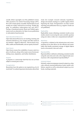usually obtain copyrights over this published version. After payment of an Article Processing Charge (APC), the work is made openly accessible. Hybrid Open Access models are widely criticized for involving "double dipping" by publishers (subscription fees and APC)<sup>25</sup>. During a transitional period, Read and Publish agreements can be an alternative for Open Access publication in subscription-based journals.

### Open Educational Resources

Open Educational Resources are teaching, learning and research materials (e.g. text, images and other assets) in any medium – digital or otherwise – that are freely accessible, usable and distributable, and are openly licensed<sup>26</sup>.

### Open Source

Open Source means the availability of source code for a piece of software, along with an open source license permitting reuse, adaptation, and further distribution.

### Preprint

A preprint is a manuscript draft that has not yet been subject to formal peer review.

### Preregistration

Researchers have the option or are required (e.g. for clinical trials<sup>27</sup>) to submit important information about their study (for example: research rationale, hypotheses, design and analytic strategy) to a public registry before beginning the study. Preregistration can help counter reporting and publication bias (e.g. negative results are not published).

## Replicability

Replicability means obtaining consistent results across studies aimed at answering the same scientific question using new data or other new computational methods<sup>28</sup>.

# Repository

A repository is defined as the infrastructure and corresponding service that allows for the efficient and sustainable (and ideally persistent) storage of digital objects (such as documents, data and code).

# Reproducibility

Reproducibility is defined as obtaining consistent results using the same data and code as the original study (synonymous with computational reproducibility) $^{29}$ .

# Scholarly Output

Scholarly output encompasses research output (e.g. data, code, software, journal publications, books, media, exhibitions, reports) as well as educational output (e.g. textbooks, teaching material).

27 https://www.fedlex.admin.ch/eli/cc/2013/643/en

<sup>25</sup> https://en.wikipedia.org/wiki/Hybrid\_open-access\_journal

<sup>26</sup> https://en.unesco.org/themes/building-knowledge-societies/oer

<sup>28</sup> [https://www.nationalacademies.org/news/2019/09/reproducibility-and-re](https://www.nationalacademies.org/news/2019/09/reproducibility-and-replicability-in-research)[plicability-in-research](https://www.nationalacademies.org/news/2019/09/reproducibility-and-replicability-in-research)

<sup>29</sup> [https://www.nationalacademies.org/news/2019/09/reproducibility-and-re](https://www.nationalacademies.org/news/2019/09/reproducibility-and-replicability-in-research)[plicability-in-research](https://www.nationalacademies.org/news/2019/09/reproducibility-and-replicability-in-research)